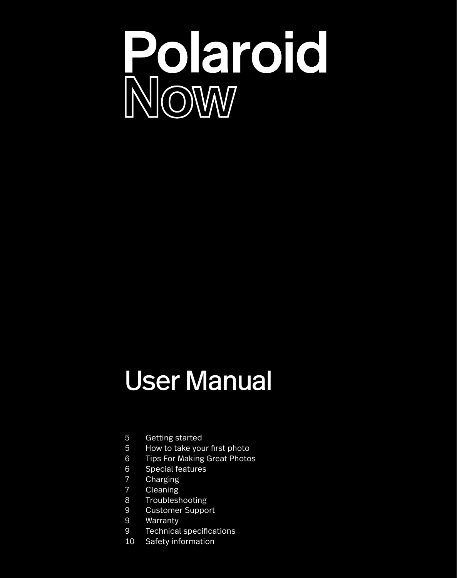

# User Manual

- 5 Getting started
- 5 How to take your first photo
- 6 Tips For Making Great Photos<br>6 Special features
- 6 Special features<br>7 Charging
- 7 Charging<br>7 Cleaning
- **Cleaning**
- 8 Troubleshooting<br>9 Customer Suppo
- **Customer Support**
- 9 Warranty
- 9 Technical specifications
- 10 Safety information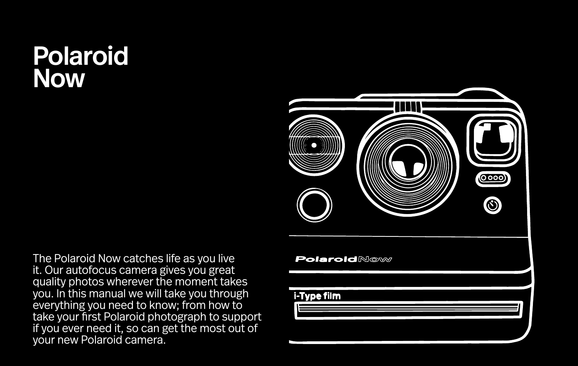# Polaroid Now



The Polaroid Now catches life as you live it. Our autofocus camera gives you great quality photos wherever the moment takes you. In this manual we will take you through everything you need to know; from how to take your first Polaroid photograph to support if you ever need it, so can get the most out of your new Polaroid camera.

### **PolaroidNow**

i-Type film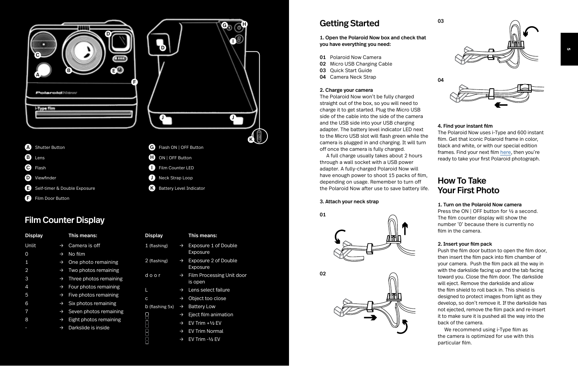



- **A** Shutter Button
- **B** Lens
- **C** Flash
- **D** Viewfinder
- Self-timer & Double Exposure
- **B** Film Door Button

### Film Counter Display

| <b>Display</b> |               | This means:            |
|----------------|---------------|------------------------|
| Unlit          | $\rightarrow$ | Camera is off          |
| $\Omega$       | $\rightarrow$ | No film                |
| 1              | $\rightarrow$ | One photo remaining    |
| $\overline{2}$ | $\rightarrow$ | Two photos remaining   |
| 3              | $\rightarrow$ | Three photos remaining |
| 4              | $\rightarrow$ | Four photos remaining  |
| 5              | $\rightarrow$ | Five photos remaining  |
| 6              | $\rightarrow$ | Six photos remaining   |
| 7              | $\rightarrow$ | Seven photos remaining |
| 8              | $\rightarrow$ | Eight photos remaining |
|                | $\rightarrow$ | Darkslide is inside    |
|                |               |                        |

- Display This means: 1 (flashing) → Exposure 1 of Double Exposure 2 (flashing) → Exposure 2 of Double Exposure d o o r → Film Processing Unit door is open
	- → Lens select failure
	- → Object too close
- b (flashing 5x)  $\rightarrow$ **Battery Low**

L

c

 $\begin{array}{c} 0 \\ 0 \\ 0 \\ 0 \\ \end{array}$ 

ā

Film Counter LED **D** Neck Strap Loop **K** Battery Level Indicator

- $\rightarrow$  Eject film animation
- → EV Trim +½ EV
- → EV Trim Normal
- → EV Trim -½ EV

### Getting Started

1. Open the Polaroid Now box and check that you have everything you need:

- **01** Polaroid Now Camera
- 02 Micro USB Charging Cable
- 03 Quick Start Guide
- 04 Camera Neck Strap

### 2. Charge your camera

The Polaroid Now won't be fully charged straight out of the box, so you will need to charge it to get started. Plug the Micro USB side of the cable into the side of the camera and the USB side into your USB charging adapter. The battery level indicator LED next to the Micro USB slot will flash green while the camera is plugged in and charging. It will turn off once the camera is fully charged.

A full charge usually takes about 2 hours through a wall socket with a USB power adapter. A fully-charged Polaroid Now will have enough power to shoot 15 packs of film, depending on usage. Remember to turn off the Polaroid Now after use to save battery life.

### 3. Attach your neck strap

01





03





### 4. Find your instant film

The Polaroid Now uses i-Type and 600 instant film. Get that iconic Polaroid frame in color, black and white, or with our special edition frames. Find your next film [here](https://polaroid.com/collections/instant-film) , then you're ready to take your first Polaroid photograph.

### How To Take Your First Photo

### 1. Turn on the Polaroid Now camera

Press the ON | OFF button for 1/2 a second. The film counter display will show the number '0' because there is currently no film in the camera.

### 2. Insert your film pack

Push the film door button to open the film door, then insert the film pack into film chamber of your camera. Push the film pack all the way in with the darkslide facing up and the tab facing toward you. Close the film door. The darkslide will eject. Remove the darkslide and allow the film shield to roll back in. This shield is designed to protect images from light as they develop, so don't remove it. If the darkslide has not ejected, remove the film pack and re-insert it to make sure it is pushed all the way into the back of the camera.

We recommend using i-Type film as the camera is optimized for use with this particular film.

**5**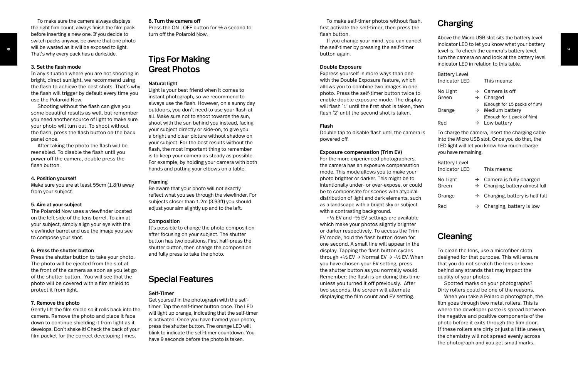### 3. Set the flash mode

In any situation where you are not shooting in bright, direct sunlight, we recommend using the flash to achieve the best shots. That's why the flash will trigger by default every time you use the Polaroid Now.

To make sure the camera always displays the right film count, always finish the film pack before inserting a new one. If you decide to switch packs anyway, be aware that one photo will be wasted as it will be exposed to light. That's why every pack has a darkslide.

Shooting without the flash can give you some beautiful results as well, but remember you need another source of light to make sure your photo will turn out. To shoot without the flash, press the flash button on the back panel once.

After taking the photo the flash will be reenabled. To disable the flash until you power off the camera, double press the flash button.

### 4. Position yourself

Make sure you are at least 55cm (1.8ft) away from your subject.

### 5. Aim at your subject

The Polaroid Now uses a viewfinder located on the left side of the lens barrel. To aim at your subject, simply align your eye with the viewfinder barrel and use the image you see to compose your shot.

### 6. Press the shutter button

Press the shutter button to take your photo. The photo will be ejected from the slot at the front of the camera as soon as you let go of the shutter button. You will see that the photo will be covered with a film shield to protect it from light.

### 7. Remove the photo

Gently lift the film shield so it rolls back into the camera. Remove the photo and place it face down to continue shielding it from light as it develops. Don't shake it! Check the back of your film packet for the correct developing times.

#### 8. Turn the camera off

Press the ON | OFF button for ½ a second to turn off the Polaroid Now.

### Tips For Making Great Photos

### Natural light

Light is your best friend when it comes to instant photograph, so we recommend to always use the flash. However, on a sunny day outdoors, you don't need to use your flash at all. Make sure not to shoot towards the sun, shoot with the sun behind you instead, facing your subject directly or side-on, to give you a bright and clear picture without shadow on your subject. For the best results without the flash, the most important thing to remember is to keep your camera as steady as possible. For example, by holding your camera with both hands and putting your elbows on a table.

#### Framing

Be aware that your photo will not exactly reflect what you see through the viewfinder. For subjects closer than 1.2m (3.93ft) you should adjust your aim slightly up and to the left.

### Composition

It's possible to change the photo composition after focusing on your subject. The shutter button has two positions. First half-press the shutter button, then change the composition and fully press to take the photo.

### Special Features

### Self-Timer

Get yourself in the photograph with the selftimer. Tap the self-timer button once. The LED will light up orange, indicating that the self-timer is activated. Once you have framed your photo, press the shutter button. The orange LED will blink to indicate the self-timer countdown. You have 9 seconds before the photo is taken.

To make self-timer photos without flash, first activate the self-timer, then press the flash button.

If you change your mind, you can cancel the self-timer by pressing the self-timer button again.

#### Double Exposure

Express yourself in more ways than one with the Double Exposure feature, which allows you to combine two images in one photo. Press the self-timer button twice to enable double exposure mode. The display will flash '1' until the first shot is taken, then flash '2' until the second shot is taken.

#### Flash

Double tap to disable flash until the camera is powered off.

### Exposure compensation (Trim EV)

For the more experienced photographers, the camera has an exposure compensation mode. This mode allows you to make your photo brighter or darker. This might be to intentionally under- or over-expose, or could be to compensate for scenes with atypical distribution of light and dark elements, such as a landscape with a bright sky or subject with a contrasting background.

+½ EV and -½ EV settings are available which make your photos slightly brighter or darker respectively. To access the Trim EV mode, hold the flash button down for one second. A small line will appear in the display. Tapping the flash button cycles through +1⁄2 EV → Normal EV → -1⁄2 EV. When you have chosen your EV setting, press the shutter button as you normally would. Remember: the flash is on during this time unless you turned it off previously. After two seconds, the screen will alternate displaying the film count and EV setting.

### Charging

Above the Micro USB slot sits the battery level indicator LED to let you know what your battery level is. To check the camera's battery level, turn the camera on and look at the battery level indicator LED in relation to this table.

| <b>Battery Level</b> |               |                               |
|----------------------|---------------|-------------------------------|
| Indicator LED        |               | This means:                   |
| No Light             |               | $\rightarrow$ Camera is off   |
| Green                |               | $\rightarrow$ Charged         |
|                      |               | (Enough for 15 packs of film) |
| Orange               | $\rightarrow$ | Medium battery                |
|                      |               | (Enough for 1 pack of film)   |
| Red                  |               | Low battery                   |

To charge the camera, insert the charging cable into the Micro USB slot. Once you do that, the LED light will let you know how much charge you have remaining.

| <b>Battery Level</b><br><b>Indicator LED</b> |               | This means:                                                            |
|----------------------------------------------|---------------|------------------------------------------------------------------------|
| No Light<br>Green                            | $\rightarrow$ | $\rightarrow$ Camera is fully charged<br>Charging, battery almost full |
| Orange                                       |               | $\rightarrow$ Charging, battery is half full                           |
| Red                                          |               | Charging, battery is low                                               |

### Cleaning

To clean the lens, use a microfiber cloth designed for that purpose. This will ensure that you do not scratch the lens or leave behind any strands that may impact the quality of your photos.

Spotted marks on your photographs? Dirty rollers could be one of the reasons.

When you take a Polaroid photograph, the film goes through two metal rollers. This is where the developer paste is spread between the negative and positive components of the photo before it exits through the film door. If these rollers are dirty or just a little uneven, the chemistry will not spread evenly across the photograph and you get small marks.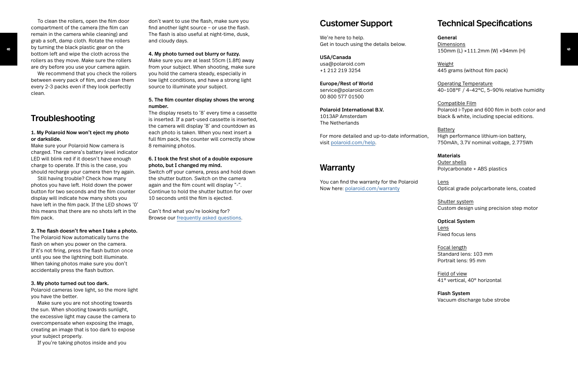compartment of the camera (the film can remain in the camera while cleaning) and grab a soft, damp cloth. Rotate the rollers by turning the black plastic gear on the bottom left and wipe the cloth across the rollers as they move. Make sure the rollers are dry before you use your camera again.

To clean the rollers, open the film door

We recommend that you check the rollers between every pack of film, and clean them every 2-3 packs even if they look perfectly clean.

### Troubleshooting

### 1. My Polaroid Now won't eject my photo or darkslide.

Make sure your Polaroid Now camera is charged. The camera's battery level indicator LED will blink red if it doesn't have enough charge to operate. If this is the case, you should recharge your camera then try again.

Still having trouble? Check how many photos you have left. Hold down the power button for two seconds and the film counter display will indicate how many shots you have left in the film pack. If the LED shows '0' this means that there are no shots left in the film pack.

### 2. The flash doesn't fire when I take a photo.

The Polaroid Now automatically turns the flash on when you power on the camera. If it's not firing, press the flash button once until you see the lightning bolt illuminate. When taking photos make sure you don't accidentally press the flash button.

#### 3. My photo turned out too dark.

Polaroid cameras love light, so the more light you have the better.

Make sure you are not shooting towards the sun. When shooting towards sunlight, the excessive light may cause the camera to overcompensate when exposing the image, creating an image that is too dark to expose your subject properly.

If you're taking photos inside and you

don't want to use the flash, make sure you find another light source – or use the flash. The flash is also useful at night-time, dusk, and cloudy days.

### 4. My photo turned out blurry or fuzzy.

Make sure you are at least 55cm (1.8ft) away from your subject. When shooting, make sure you hold the camera steady, especially in low light conditions, and have a strong light source to illuminate your subject.

### 5. The film counter display shows the wrong number.

The display resets to '8' every time a cassette is inserted. If a part-used cassette is inserted, the camera will display '8' and countdown as each photo is taken. When you next insert a full film pack, the counter will correctly show 8 remaining photos.

### 6. I took the first shot of a double exposure photo, but I changed my mind.

Switch off your camera, press and hold down the shutter button. Switch on the camera again and the film count will display "-". Continue to hold the shutter button for over 10 seconds until the film is ejected.

Can't find what you're looking for? Browse our [frequently](https://support.polaroid.com) asked questions .

### Customer Support

We're here to help. Get in touch using the details below.

### USA/Canada usa@polaroid.com +1 212 219 3254

Europe/Rest of World service@polaroid.com 00 800 577 01500

### Polaroid International B.V. 1013AP Amsterdam The Netherlands

For more detailed and up-to-date information, visit [polaroid.com/help](https://polaroid.com/help) .

### **Warranty**

You can find the warranty for the Polaroid Now here: [polaroid.com/warranty](https://polaroid.com/warranty)

### Technical Specifications

General Dimensions 150mm (L) ×111.2mm (W) ×94mm (H)

Weight 445 grams (without film pack)

Operating Temperature 40–108°F / 4–42°C, 5–90% relative humidity

Compatible Film Polaroid i-Type and 600 film in both color and black & white, including special editions.

### Battery High performance lithium-ion battery, 750mAh, 3.7V nominal voltage, 2.775Wh

Materials Outer shells Polycarbonate + ABS plastics

Lens Optical grade polycarbonate lens, coated

Shutter system Custom design using precision step motor

Optical System Lens Fixed focus lens

Focal length Standard lens: 103 mm Portrait lens: 95 mm

Field of view 41° vertical, 40° horizontal

Flash System Vacuum discharge tube strobe